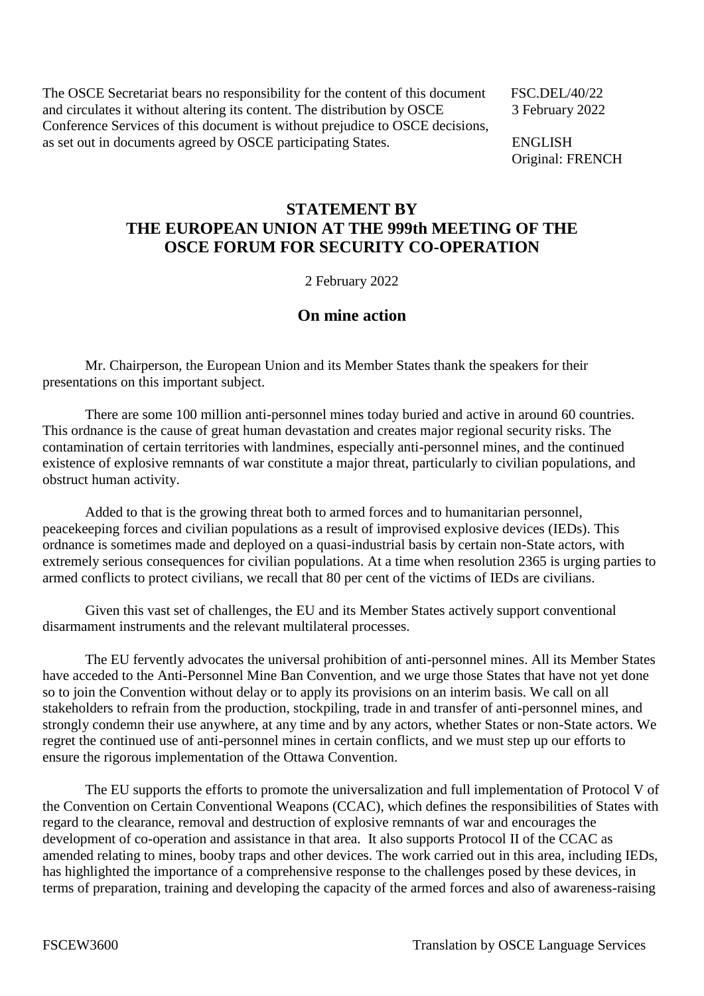The OSCE Secretariat bears no responsibility for the content of this document FSC.DEL/40/22 and circulates it without altering its content. The distribution by OSCE 3 February 2022 Conference Services of this document is without prejudice to OSCE decisions, as set out in documents agreed by OSCE participating States. ENGLISH

Original: FRENCH

## **STATEMENT BY THE EUROPEAN UNION AT THE 999th MEETING OF THE OSCE FORUM FOR SECURITY CO-OPERATION**

2 February 2022

## **On mine action**

Mr. Chairperson, the European Union and its Member States thank the speakers for their presentations on this important subject.

There are some 100 million anti-personnel mines today buried and active in around 60 countries. This ordnance is the cause of great human devastation and creates major regional security risks. The contamination of certain territories with landmines, especially anti-personnel mines, and the continued existence of explosive remnants of war constitute a major threat, particularly to civilian populations, and obstruct human activity.

Added to that is the growing threat both to armed forces and to humanitarian personnel, peacekeeping forces and civilian populations as a result of improvised explosive devices (IEDs). This ordnance is sometimes made and deployed on a quasi-industrial basis by certain non-State actors, with extremely serious consequences for civilian populations. At a time when resolution 2365 is urging parties to armed conflicts to protect civilians, we recall that 80 per cent of the victims of IEDs are civilians.

Given this vast set of challenges, the EU and its Member States actively support conventional disarmament instruments and the relevant multilateral processes.

The EU fervently advocates the universal prohibition of anti-personnel mines. All its Member States have acceded to the Anti-Personnel Mine Ban Convention, and we urge those States that have not yet done so to join the Convention without delay or to apply its provisions on an interim basis. We call on all stakeholders to refrain from the production, stockpiling, trade in and transfer of anti-personnel mines, and strongly condemn their use anywhere, at any time and by any actors, whether States or non-State actors. We regret the continued use of anti-personnel mines in certain conflicts, and we must step up our efforts to ensure the rigorous implementation of the Ottawa Convention.

The EU supports the efforts to promote the universalization and full implementation of Protocol V of the Convention on Certain Conventional Weapons (CCAC), which defines the responsibilities of States with regard to the clearance, removal and destruction of explosive remnants of war and encourages the development of co-operation and assistance in that area. It also supports Protocol II of the CCAC as amended relating to mines, booby traps and other devices. The work carried out in this area, including IEDs, has highlighted the importance of a comprehensive response to the challenges posed by these devices, in terms of preparation, training and developing the capacity of the armed forces and also of awareness-raising